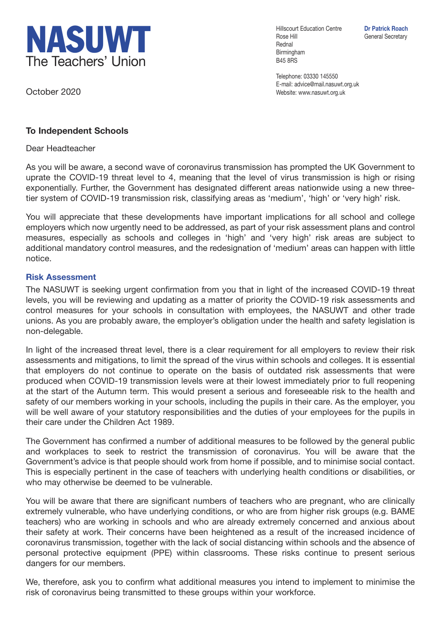

October 2020

Hillscourt Education Centre **Dr Patrick Roach** Rose Hill General Secretary Rednal Birmingham B45 8RS

Telephone: 03330 145550 E-mail: advice@mail.nasuwt.org.uk Website: www.nasuwt.org.uk

## **To Independent Schools**

Dear Headteacher

As you will be aware, a second wave of coronavirus transmission has prompted the UK Government to uprate the COVID-19 threat level to 4, meaning that the level of virus transmission is high or rising exponentially. Further, the Government has designated different areas nationwide using a new threetier system of COVID-19 transmission risk, classifying areas as 'medium', 'high' or 'very high' risk.

You will appreciate that these developments have important implications for all school and college employers which now urgently need to be addressed, as part of your risk assessment plans and control measures, especially as schools and colleges in 'high' and 'very high' risk areas are subject to additional mandatory control measures, and the redesignation of 'medium' areas can happen with little notice.

## **Risk Assessment**

The NASUWT is seeking urgent confirmation from you that in light of the increased COVID-19 threat levels, you will be reviewing and updating as a matter of priority the COVID-19 risk assessments and control measures for your schools in consultation with employees, the NASUWT and other trade unions. As you are probably aware, the employer's obligation under the health and safety legislation is non-delegable.

In light of the increased threat level, there is a clear requirement for all employers to review their risk assessments and mitigations, to limit the spread of the virus within schools and colleges. It is essential that employers do not continue to operate on the basis of outdated risk assessments that were produced when COVID-19 transmission levels were at their lowest immediately prior to full reopening at the start of the Autumn term. This would present a serious and foreseeable risk to the health and safety of our members working in your schools, including the pupils in their care. As the employer, you will be well aware of your statutory responsibilities and the duties of your employees for the pupils in their care under the Children Act 1989.

The Government has confirmed a number of additional measures to be followed by the general public and workplaces to seek to restrict the transmission of coronavirus. You will be aware that the Government's advice is that people should work from home if possible, and to minimise social contact. This is especially pertinent in the case of teachers with underlying health conditions or disabilities, or who may otherwise be deemed to be vulnerable.

You will be aware that there are significant numbers of teachers who are pregnant, who are clinically extremely vulnerable, who have underlying conditions, or who are from higher risk groups (e.g. BAME teachers) who are working in schools and who are already extremely concerned and anxious about their safety at work. Their concerns have been heightened as a result of the increased incidence of coronavirus transmission, together with the lack of social distancing within schools and the absence of personal protective equipment (PPE) within classrooms. These risks continue to present serious dangers for our members.

We, therefore, ask you to confirm what additional measures you intend to implement to minimise the risk of coronavirus being transmitted to these groups within your workforce.